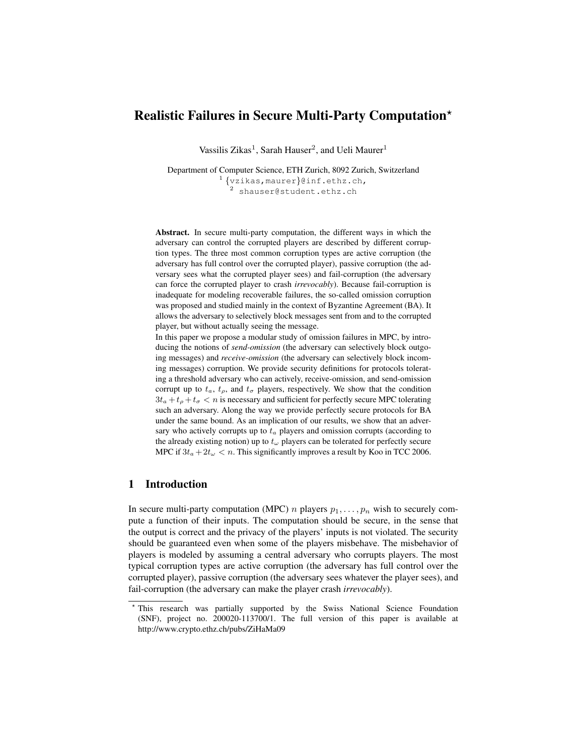# Realistic Failures in Secure Multi-Party Computation?

Vassilis Zikas<sup>1</sup>, Sarah Hauser<sup>2</sup>, and Ueli Maurer<sup>1</sup>

Department of Computer Science, ETH Zurich, 8092 Zurich, Switzerland 1 {vzikas,maurer}@inf.ethz.ch, 2 shauser@student.ethz.ch

Abstract. In secure multi-party computation, the different ways in which the adversary can control the corrupted players are described by different corruption types. The three most common corruption types are active corruption (the adversary has full control over the corrupted player), passive corruption (the adversary sees what the corrupted player sees) and fail-corruption (the adversary can force the corrupted player to crash *irrevocably*). Because fail-corruption is inadequate for modeling recoverable failures, the so-called omission corruption was proposed and studied mainly in the context of Byzantine Agreement (BA). It allows the adversary to selectively block messages sent from and to the corrupted player, but without actually seeing the message.

In this paper we propose a modular study of omission failures in MPC, by introducing the notions of *send-omission* (the adversary can selectively block outgoing messages) and *receive-omission* (the adversary can selectively block incoming messages) corruption. We provide security definitions for protocols tolerating a threshold adversary who can actively, receive-omission, and send-omission corrupt up to  $t_a$ ,  $t_\rho$ , and  $t_\sigma$  players, respectively. We show that the condition  $3t_a + t_a + t_\sigma < n$  is necessary and sufficient for perfectly secure MPC tolerating such an adversary. Along the way we provide perfectly secure protocols for BA under the same bound. As an implication of our results, we show that an adversary who actively corrupts up to  $t_a$  players and omission corrupts (according to the already existing notion) up to  $t_{\omega}$  players can be tolerated for perfectly secure MPC if  $3t_a + 2t_w < n$ . This significantly improves a result by Koo in TCC 2006.

# 1 Introduction

In secure multi-party computation (MPC) *n* players  $p_1, \ldots, p_n$  wish to securely compute a function of their inputs. The computation should be secure, in the sense that the output is correct and the privacy of the players' inputs is not violated. The security should be guaranteed even when some of the players misbehave. The misbehavior of players is modeled by assuming a central adversary who corrupts players. The most typical corruption types are active corruption (the adversary has full control over the corrupted player), passive corruption (the adversary sees whatever the player sees), and fail-corruption (the adversary can make the player crash *irrevocably*).

<sup>?</sup> This research was partially supported by the Swiss National Science Foundation (SNF), project no. 200020-113700/1. The full version of this paper is available at http://www.crypto.ethz.ch/pubs/ZiHaMa09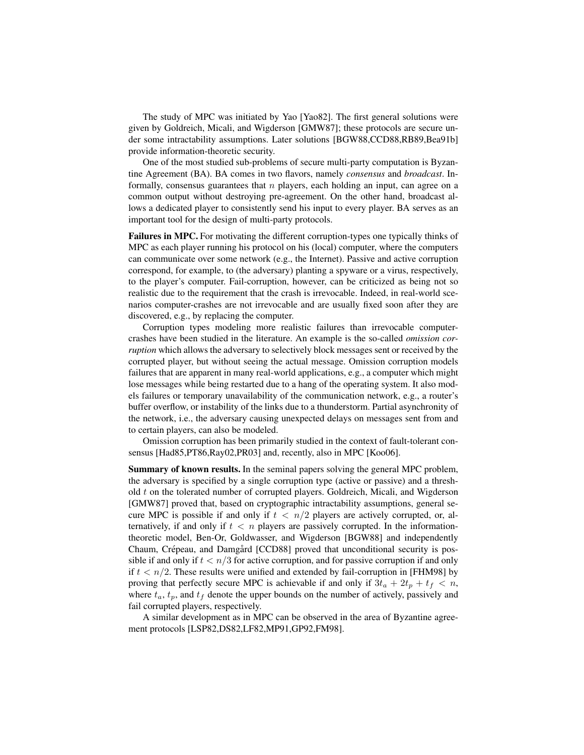The study of MPC was initiated by Yao [Yao82]. The first general solutions were given by Goldreich, Micali, and Wigderson [GMW87]; these protocols are secure under some intractability assumptions. Later solutions [BGW88,CCD88,RB89,Bea91b] provide information-theoretic security.

One of the most studied sub-problems of secure multi-party computation is Byzantine Agreement (BA). BA comes in two flavors, namely *consensus* and *broadcast*. Informally, consensus guarantees that  $n$  players, each holding an input, can agree on a common output without destroying pre-agreement. On the other hand, broadcast allows a dedicated player to consistently send his input to every player. BA serves as an important tool for the design of multi-party protocols.

Failures in MPC. For motivating the different corruption-types one typically thinks of MPC as each player running his protocol on his (local) computer, where the computers can communicate over some network (e.g., the Internet). Passive and active corruption correspond, for example, to (the adversary) planting a spyware or a virus, respectively, to the player's computer. Fail-corruption, however, can be criticized as being not so realistic due to the requirement that the crash is irrevocable. Indeed, in real-world scenarios computer-crashes are not irrevocable and are usually fixed soon after they are discovered, e.g., by replacing the computer.

Corruption types modeling more realistic failures than irrevocable computercrashes have been studied in the literature. An example is the so-called *omission corruption* which allows the adversary to selectively block messages sent or received by the corrupted player, but without seeing the actual message. Omission corruption models failures that are apparent in many real-world applications, e.g., a computer which might lose messages while being restarted due to a hang of the operating system. It also models failures or temporary unavailability of the communication network, e.g., a router's buffer overflow, or instability of the links due to a thunderstorm. Partial asynchronity of the network, i.e., the adversary causing unexpected delays on messages sent from and to certain players, can also be modeled.

Omission corruption has been primarily studied in the context of fault-tolerant consensus [Had85,PT86,Ray02,PR03] and, recently, also in MPC [Koo06].

Summary of known results. In the seminal papers solving the general MPC problem, the adversary is specified by a single corruption type (active or passive) and a threshold  $t$  on the tolerated number of corrupted players. Goldreich, Micali, and Wigderson [GMW87] proved that, based on cryptographic intractability assumptions, general secure MPC is possible if and only if  $t < n/2$  players are actively corrupted, or, alternatively, if and only if  $t < n$  players are passively corrupted. In the informationtheoretic model, Ben-Or, Goldwasser, and Wigderson [BGW88] and independently Chaum, Crépeau, and Damgård [CCD88] proved that unconditional security is possible if and only if  $t < n/3$  for active corruption, and for passive corruption if and only if  $t < n/2$ . These results were unified and extended by fail-corruption in [FHM98] by proving that perfectly secure MPC is achievable if and only if  $3t_a + 2t_p + t_f < n$ , where  $t_a$ ,  $t_p$ , and  $t_f$  denote the upper bounds on the number of actively, passively and fail corrupted players, respectively.

A similar development as in MPC can be observed in the area of Byzantine agreement protocols [LSP82,DS82,LF82,MP91,GP92,FM98].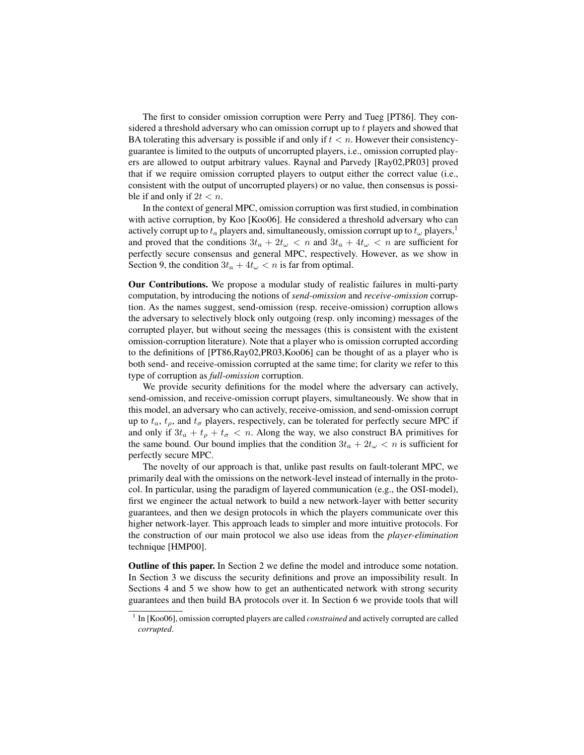The first to consider omission corruption were Perry and Tueg [PT86]. They considered a threshold adversary who can omission corrupt up to t players and showed that BA tolerating this adversary is possible if and only if  $t < n$ . However their consistencyguarantee is limited to the outputs of uncorrupted players, i.e., omission corrupted players are allowed to output arbitrary values. Raynal and Parvedy [Ray02,PR03] proved that if we require omission corrupted players to output either the correct value (i.e., consistent with the output of uncorrupted players) or no value, then consensus is possible if and only if  $2t < n$ .

In the context of general MPC, omission corruption was first studied, in combination with active corruption, by Koo [Koo06]. He considered a threshold adversary who can actively corrupt up to  $t_a$  players and, simultaneously, omission corrupt up to  $t_\omega$  players,<sup>1</sup> and proved that the conditions  $3t_a + 2t_{\omega} < n$  and  $3t_a + 4t_{\omega} < n$  are sufficient for perfectly secure consensus and general MPC, respectively. However, as we show in Section 9, the condition  $3t_a + 4t_{\omega} < n$  is far from optimal.

Our Contributions. We propose a modular study of realistic failures in multi-party computation, by introducing the notions of *send-omission* and *receive-omission* corruption. As the names suggest, send-omission (resp. receive-omission) corruption allows the adversary to selectively block only outgoing (resp. only incoming) messages of the corrupted player, but without seeing the messages (this is consistent with the existent omission-corruption literature). Note that a player who is omission corrupted according to the definitions of [PT86,Ray02,PR03,Koo06] can be thought of as a player who is both send- and receive-omission corrupted at the same time; for clarity we refer to this type of corruption as *full-omission* corruption.

We provide security definitions for the model where the adversary can actively, send-omission, and receive-omission corrupt players, simultaneously. We show that in this model, an adversary who can actively, receive-omission, and send-omission corrupt up to  $t_a$ ,  $t_\rho$ , and  $t_\sigma$  players, respectively, can be tolerated for perfectly secure MPC if and only if  $3t_a + t_p + t_\sigma < n$ . Along the way, we also construct BA primitives for the same bound. Our bound implies that the condition  $3t_a + 2t_{\omega} < n$  is sufficient for perfectly secure MPC.

The novelty of our approach is that, unlike past results on fault-tolerant MPC, we primarily deal with the omissions on the network-level instead of internally in the protocol. In particular, using the paradigm of layered communication (e.g., the OSI-model), first we engineer the actual network to build a new network-layer with better security guarantees, and then we design protocols in which the players communicate over this higher network-layer. This approach leads to simpler and more intuitive protocols. For the construction of our main protocol we also use ideas from the *player-elimination* technique [HMP00].

Outline of this paper. In Section 2 we define the model and introduce some notation. In Section 3 we discuss the security definitions and prove an impossibility result. In Sections 4 and 5 we show how to get an authenticated network with strong security guarantees and then build BA protocols over it. In Section 6 we provide tools that will

<sup>&</sup>lt;sup>1</sup> In [Koo06], omission corrupted players are called *constrained* and actively corrupted are called *corrupted*.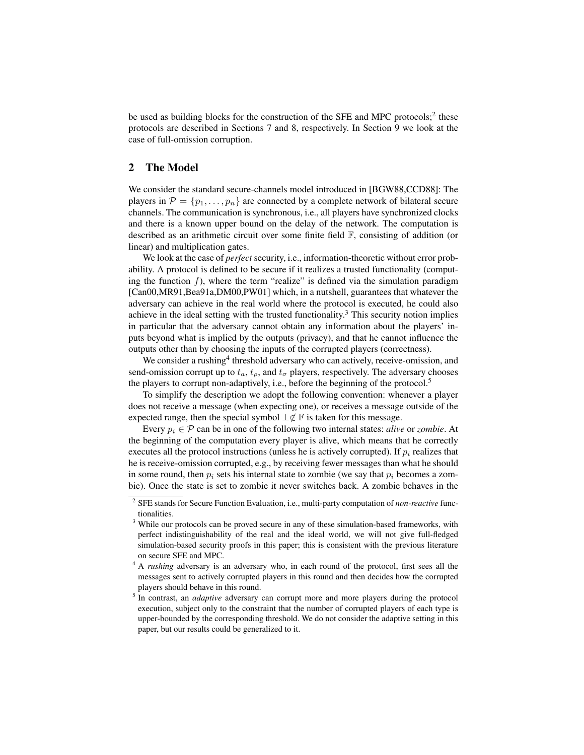be used as building blocks for the construction of the SFE and MPC protocols;<sup>2</sup> these protocols are described in Sections 7 and 8, respectively. In Section 9 we look at the case of full-omission corruption.

### 2 The Model

We consider the standard secure-channels model introduced in [BGW88,CCD88]: The players in  $\mathcal{P} = \{p_1, \ldots, p_n\}$  are connected by a complete network of bilateral secure channels. The communication is synchronous, i.e., all players have synchronized clocks and there is a known upper bound on the delay of the network. The computation is described as an arithmetic circuit over some finite field F, consisting of addition (or linear) and multiplication gates.

We look at the case of *perfect* security, i.e., information-theoretic without error probability. A protocol is defined to be secure if it realizes a trusted functionality (computing the function  $f$ ), where the term "realize" is defined via the simulation paradigm [Can00,MR91,Bea91a,DM00,PW01] which, in a nutshell, guarantees that whatever the adversary can achieve in the real world where the protocol is executed, he could also achieve in the ideal setting with the trusted functionality.<sup>3</sup> This security notion implies in particular that the adversary cannot obtain any information about the players' inputs beyond what is implied by the outputs (privacy), and that he cannot influence the outputs other than by choosing the inputs of the corrupted players (correctness).

We consider a rushing<sup>4</sup> threshold adversary who can actively, receive-omission, and send-omission corrupt up to  $t_a$ ,  $t_\rho$ , and  $t_\sigma$  players, respectively. The adversary chooses the players to corrupt non-adaptively, i.e., before the beginning of the protocol.<sup>5</sup>

To simplify the description we adopt the following convention: whenever a player does not receive a message (when expecting one), or receives a message outside of the expected range, then the special symbol  $\perp \notin \mathbb{F}$  is taken for this message.

Every  $p_i \in \mathcal{P}$  can be in one of the following two internal states: *alive* or *zombie*. At the beginning of the computation every player is alive, which means that he correctly executes all the protocol instructions (unless he is actively corrupted). If  $p_i$  realizes that he is receive-omission corrupted, e.g., by receiving fewer messages than what he should in some round, then  $p_i$  sets his internal state to zombie (we say that  $p_i$  becomes a zombie). Once the state is set to zombie it never switches back. A zombie behaves in the

<sup>2</sup> SFE stands for Secure Function Evaluation, i.e., multi-party computation of *non-reactive* functionalities.

<sup>&</sup>lt;sup>3</sup> While our protocols can be proved secure in any of these simulation-based frameworks, with perfect indistinguishability of the real and the ideal world, we will not give full-fledged simulation-based security proofs in this paper; this is consistent with the previous literature on secure SFE and MPC.

<sup>&</sup>lt;sup>4</sup> A *rushing* adversary is an adversary who, in each round of the protocol, first sees all the messages sent to actively corrupted players in this round and then decides how the corrupted players should behave in this round.

<sup>&</sup>lt;sup>5</sup> In contrast, an *adaptive* adversary can corrupt more and more players during the protocol execution, subject only to the constraint that the number of corrupted players of each type is upper-bounded by the corresponding threshold. We do not consider the adaptive setting in this paper, but our results could be generalized to it.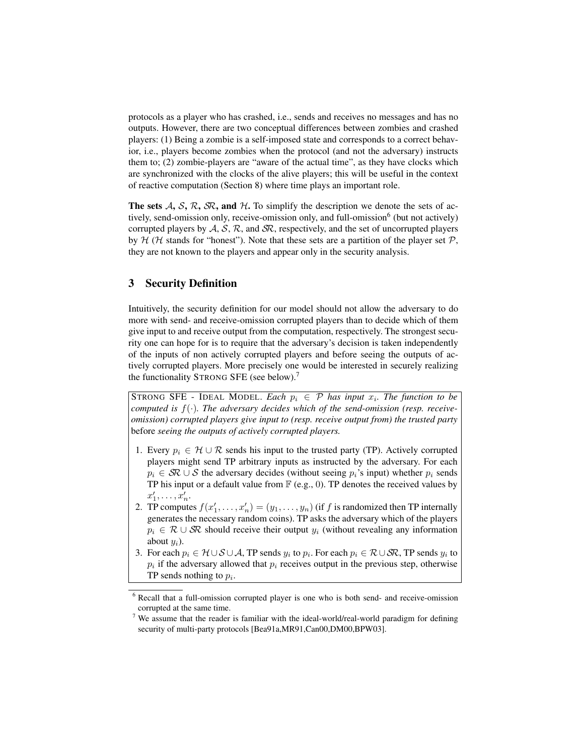protocols as a player who has crashed, i.e., sends and receives no messages and has no outputs. However, there are two conceptual differences between zombies and crashed players: (1) Being a zombie is a self-imposed state and corresponds to a correct behavior, i.e., players become zombies when the protocol (and not the adversary) instructs them to; (2) zombie-players are "aware of the actual time", as they have clocks which are synchronized with the clocks of the alive players; this will be useful in the context of reactive computation (Section 8) where time plays an important role.

The sets  $A$ ,  $S$ ,  $R$ ,  $S$ R, and  $H$ . To simplify the description we denote the sets of actively, send-omission only, receive-omission only, and full-omission<sup>6</sup> (but not actively) corrupted players by  $A, S, R$ , and  $S\mathcal{R}$ , respectively, and the set of uncorrupted players by  $H$  (H stands for "honest"). Note that these sets are a partition of the player set  $P$ , they are not known to the players and appear only in the security analysis.

# 3 Security Definition

Intuitively, the security definition for our model should not allow the adversary to do more with send- and receive-omission corrupted players than to decide which of them give input to and receive output from the computation, respectively. The strongest security one can hope for is to require that the adversary's decision is taken independently of the inputs of non actively corrupted players and before seeing the outputs of actively corrupted players. More precisely one would be interested in securely realizing the functionality STRONG SFE (see below).<sup>7</sup>

STRONG SFE - IDEAL MODEL. *Each*  $p_i \in \mathcal{P}$  *has input*  $x_i$ . *The function to be computed is* f(·)*. The adversary decides which of the send-omission (resp. receiveomission) corrupted players give input to (resp. receive output from) the trusted party* before *seeing the outputs of actively corrupted players.*

- 1. Every  $p_i \in H \cup \mathcal{R}$  sends his input to the trusted party (TP). Actively corrupted players might send TP arbitrary inputs as instructed by the adversary. For each  $p_i \in \mathcal{SR} \cup \mathcal{S}$  the adversary decides (without seeing  $p_i$ 's input) whether  $p_i$  sends TP his input or a default value from  $\mathbb{F}$  (e.g., 0). TP denotes the received values by  $x'_1, \ldots, x'_n.$
- 2. TP computes  $f(x'_1, \ldots, x'_n) = (y_1, \ldots, y_n)$  (if f is randomized then TP internally generates the necessary random coins). TP asks the adversary which of the players  $p_i \in \mathcal{R} \cup \mathcal{S} \mathcal{R}$  should receive their output  $y_i$  (without revealing any information about  $u_i$ ).
- 3. For each  $p_i \in \mathcal{H} \cup \mathcal{S} \cup \mathcal{A}$ , TP sends  $y_i$  to  $p_i$ . For each  $p_i \in \mathcal{R} \cup \mathcal{S} \mathcal{R}$ , TP sends  $y_i$  to  $p_i$  if the adversary allowed that  $p_i$  receives output in the previous step, otherwise TP sends nothing to  $p_i$ .

<sup>6</sup> Recall that a full-omission corrupted player is one who is both send- and receive-omission corrupted at the same time.

 $7$  We assume that the reader is familiar with the ideal-world/real-world paradigm for defining security of multi-party protocols [Bea91a,MR91,Can00,DM00,BPW03].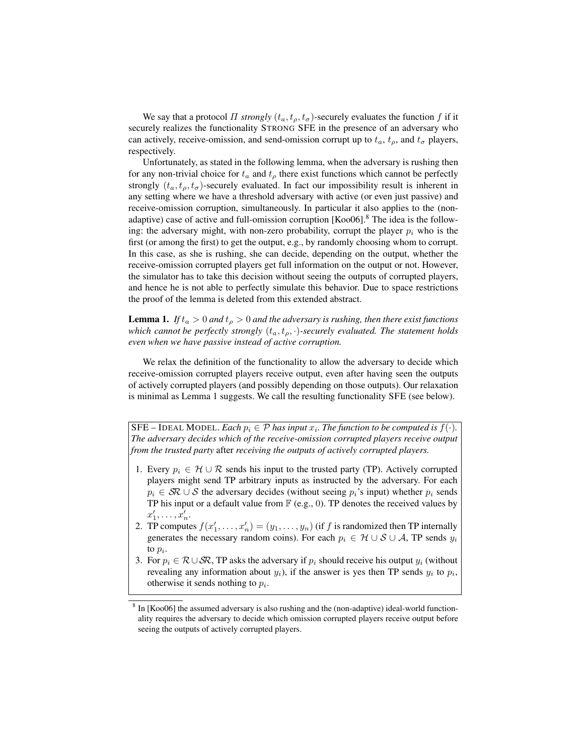We say that a protocol *Π strongly*  $(t_a, t_a, t_\sigma)$ -securely evaluates the function f if it securely realizes the functionality STRONG SFE in the presence of an adversary who can actively, receive-omission, and send-omission corrupt up to  $t_a$ ,  $t_\rho$ , and  $t_\sigma$  players, respectively.

Unfortunately, as stated in the following lemma, when the adversary is rushing then for any non-trivial choice for  $t_a$  and  $t_b$  there exist functions which cannot be perfectly strongly  $(t_a, t_o, t_\sigma)$ -securely evaluated. In fact our impossibility result is inherent in any setting where we have a threshold adversary with active (or even just passive) and receive-omission corruption, simultaneously. In particular it also applies to the (nonadaptive) case of active and full-omission corruption  $[Koo06]$ .<sup>8</sup> The idea is the following: the adversary might, with non-zero probability, corrupt the player  $p_i$  who is the first (or among the first) to get the output, e.g., by randomly choosing whom to corrupt. In this case, as she is rushing, she can decide, depending on the output, whether the receive-omission corrupted players get full information on the output or not. However, the simulator has to take this decision without seeing the outputs of corrupted players, and hence he is not able to perfectly simulate this behavior. Due to space restrictions the proof of the lemma is deleted from this extended abstract.

**Lemma 1.** *If*  $t_a > 0$  *and*  $t_p > 0$  *and the adversary is rushing, then there exist functions which cannot be perfectly strongly*  $(t_a, t_a, \cdot)$ *-securely evaluated. The statement holds even when we have passive instead of active corruption.*

We relax the definition of the functionality to allow the adversary to decide which receive-omission corrupted players receive output, even after having seen the outputs of actively corrupted players (and possibly depending on those outputs). Our relaxation is minimal as Lemma 1 suggests. We call the resulting functionality SFE (see below).

SFE – IDEAL MODEL. *Each*  $p_i \in \mathcal{P}$  *has input*  $x_i$ . *The function to be computed is*  $f(\cdot)$ . *The adversary decides which of the receive-omission corrupted players receive output from the trusted party* after *receiving the outputs of actively corrupted players.*

- 1. Every  $p_i \in H \cup \mathcal{R}$  sends his input to the trusted party (TP). Actively corrupted players might send TP arbitrary inputs as instructed by the adversary. For each  $p_i \in \mathcal{SR} \cup \mathcal{S}$  the adversary decides (without seeing  $p_i$ 's input) whether  $p_i$  sends TP his input or a default value from  $\mathbb{F}$  (e.g., 0). TP denotes the received values by  $x'_1, \ldots, x'_n.$
- 2. TP computes  $f(x'_1, \ldots, x'_n) = (y_1, \ldots, y_n)$  (if f is randomized then TP internally generates the necessary random coins). For each  $p_i \in \mathcal{H} \cup \mathcal{S} \cup \mathcal{A}$ , TP sends  $y_i$ to  $p_i$ .
- 3. For  $p_i \in \mathcal{R} \cup \mathcal{SR}$ , TP asks the adversary if  $p_i$  should receive his output  $y_i$  (without revealing any information about  $y_i$ ), if the answer is yes then TP sends  $y_i$  to  $p_i$ , otherwise it sends nothing to  $p_i$ .

<sup>&</sup>lt;sup>8</sup> In [Koo06] the assumed adversary is also rushing and the (non-adaptive) ideal-world functionality requires the adversary to decide which omission corrupted players receive output before seeing the outputs of actively corrupted players.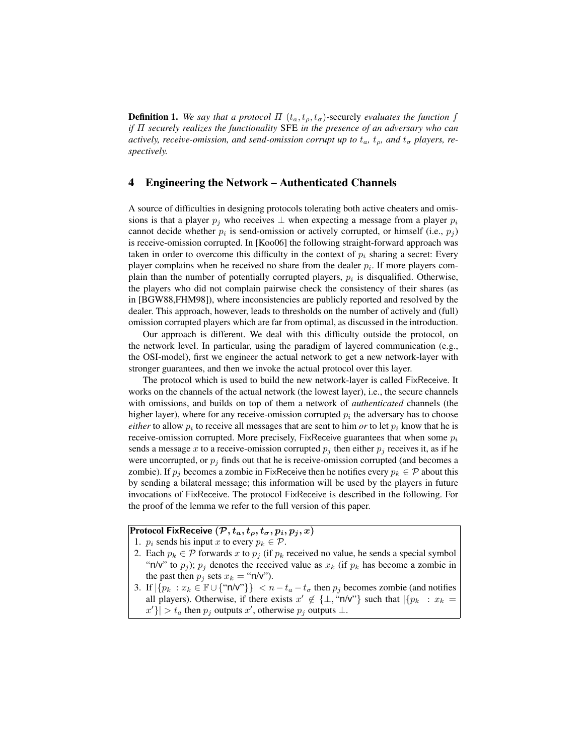**Definition 1.** We say that a protocol  $\Pi$  ( $t_a, t_b, t_\sigma$ )-securely evaluates the function f *if* Π *securely realizes the functionality* SFE *in the presence of an adversary who can actively, receive-omission, and send-omission corrupt up to*  $t_a$ ,  $t_\rho$ *, and*  $t_\sigma$  *players, respectively.*

### 4 Engineering the Network – Authenticated Channels

A source of difficulties in designing protocols tolerating both active cheaters and omissions is that a player  $p_i$  who receives  $\perp$  when expecting a message from a player  $p_i$ cannot decide whether  $p_i$  is send-omission or actively corrupted, or himself (i.e.,  $p_j$ ) is receive-omission corrupted. In [Koo06] the following straight-forward approach was taken in order to overcome this difficulty in the context of  $p_i$  sharing a secret: Every player complains when he received no share from the dealer  $p_i$ . If more players complain than the number of potentially corrupted players,  $p_i$  is disqualified. Otherwise, the players who did not complain pairwise check the consistency of their shares (as in [BGW88,FHM98]), where inconsistencies are publicly reported and resolved by the dealer. This approach, however, leads to thresholds on the number of actively and (full) omission corrupted players which are far from optimal, as discussed in the introduction.

Our approach is different. We deal with this difficulty outside the protocol, on the network level. In particular, using the paradigm of layered communication (e.g., the OSI-model), first we engineer the actual network to get a new network-layer with stronger guarantees, and then we invoke the actual protocol over this layer.

The protocol which is used to build the new network-layer is called FixReceive. It works on the channels of the actual network (the lowest layer), i.e., the secure channels with omissions, and builds on top of them a network of *authenticated* channels (the higher layer), where for any receive-omission corrupted  $p_i$  the adversary has to choose *either* to allow  $p_i$  to receive all messages that are sent to him *or* to let  $p_i$  know that he is receive-omission corrupted. More precisely, FixReceive guarantees that when some  $p_i$ sends a message x to a receive-omission corrupted  $p_j$  then either  $p_j$  receives it, as if he were uncorrupted, or  $p_j$  finds out that he is receive-omission corrupted (and becomes a zombie). If  $p_j$  becomes a zombie in FixReceive then he notifies every  $p_k \in \mathcal{P}$  about this by sending a bilateral message; this information will be used by the players in future invocations of FixReceive. The protocol FixReceive is described in the following. For the proof of the lemma we refer to the full version of this paper.

### Protocol FixReceive  $(\mathcal{P}, t_a, t_o, t_\sigma, p_i, p_j, x)$

- 1.  $p_i$  sends his input x to every  $p_k \in \mathcal{P}$ .
- 2. Each  $p_k \in \mathcal{P}$  forwards x to  $p_i$  (if  $p_k$  received no value, he sends a special symbol "n/v" to  $p_j$ );  $p_j$  denotes the received value as  $x_k$  (if  $p_k$  has become a zombie in the past then  $p_j$  sets  $x_k = "n/v"$ ).
- 3. If  $|\{p_k : x_k \in \mathbb{F} \cup \{\text{``n/v''}\}\}| < n t_a t_\sigma$  then  $p_j$  becomes zombie (and notifies all players). Otherwise, if there exists  $x' \notin \{\perp, \text{``n/v''}\}\$  such that  $|\{p_k : x_k =$  $|x'| > t_a$  then  $p_j$  outputs  $x'$ , otherwise  $p_j$  outputs  $\perp$ .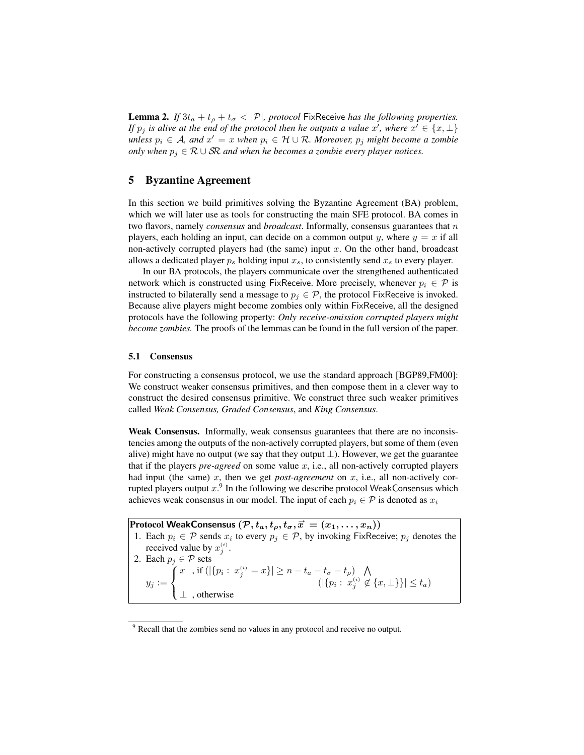**Lemma 2.** *If*  $3t_a + t_p + t_\sigma < |\mathcal{P}|$ *, protocol* FixReceive *has the following properties. If*  $p_j$  *is alive at the end of the protocol then he outputs a value* x', where  $x' \in \{x, \perp\}$  $\mathit{unless}\ p_i \in \mathcal{A}\ \mathit{and}\ x' = x\ \mathit{when}\ p_i \in \mathcal{H}\cup\mathcal{R}\ \mathit{Moreover}\ r_j\ \mathit{might}\ become\ a\ zombie$ *only when*  $p_j$  ∈  $R$  ∪  $SR$  *and when he becomes a zombie every player notices.* 

# 5 Byzantine Agreement

In this section we build primitives solving the Byzantine Agreement (BA) problem, which we will later use as tools for constructing the main SFE protocol. BA comes in two flavors, namely *consensus* and *broadcast*. Informally, consensus guarantees that n players, each holding an input, can decide on a common output y, where  $y = x$  if all non-actively corrupted players had (the same) input  $x$ . On the other hand, broadcast allows a dedicated player  $p_s$  holding input  $x_s$ , to consistently send  $x_s$  to every player.

In our BA protocols, the players communicate over the strengthened authenticated network which is constructed using FixReceive. More precisely, whenever  $p_i \in \mathcal{P}$  is instructed to bilaterally send a message to  $p_i \in \mathcal{P}$ , the protocol FixReceive is invoked. Because alive players might become zombies only within FixReceive, all the designed protocols have the following property: *Only receive-omission corrupted players might become zombies.* The proofs of the lemmas can be found in the full version of the paper.

#### 5.1 Consensus

For constructing a consensus protocol, we use the standard approach [BGP89,FM00]: We construct weaker consensus primitives, and then compose them in a clever way to construct the desired consensus primitive. We construct three such weaker primitives called *Weak Consensus, Graded Consensus*, and *King Consensus*.

Weak Consensus. Informally, weak consensus guarantees that there are no inconsistencies among the outputs of the non-actively corrupted players, but some of them (even alive) might have no output (we say that they output  $\perp$ ). However, we get the guarantee that if the players *pre-agreed* on some value  $x$ , i.e., all non-actively corrupted players had input (the same)  $x$ , then we get *post-agreement* on  $x$ , i.e., all non-actively corrupted players output  $x$ .<sup>9</sup> In the following we describe protocol WeakConsensus which achieves weak consensus in our model. The input of each  $p_i \in \mathcal{P}$  is denoted as  $x_i$ 

Protocol WeakConsensus  $(\mathcal{P}, t_a, t_\rho, t_\sigma, \vec{x} = (x_1, \dots, x_n))$ 1. Each  $p_i \in \mathcal{P}$  sends  $x_i$  to every  $p_j \in \mathcal{P}$ , by invoking FixReceive;  $p_j$  denotes the received value by  $x_j^{(i)}$ . 2. Each  $p_j \in \mathcal{P}$  sets  $y_j :=$  $\sqrt{ }$ J  $\mathcal{L}$  $\left\vert x^{\phantom{\prime}}\right\vert$  , if  $\left(\left\vert \{p_i:~x_j^{(i)}=x\}\right\vert\geq n-t_a-t_\sigma-t_\rho\right)\;\;\; \bigwedge$  $(|\{p_i: x_j^{(i)} \notin \{x, \perp\}\}| \leq t_a)$ ⊥ , otherwise

<sup>&</sup>lt;sup>9</sup> Recall that the zombies send no values in any protocol and receive no output.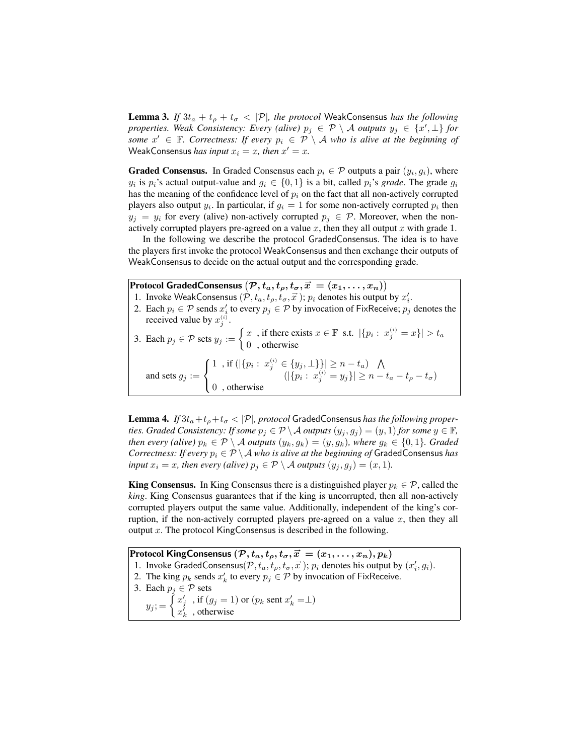**Lemma 3.** *If*  $3t_a + t_b + t_\sigma < |\mathcal{P}|$ *, the protocol* WeakConsensus *has the following properties. Weak Consistency: Every (alive)*  $p_j \in \mathcal{P} \setminus \mathcal{A}$  *outputs*  $y_j \in \{x', \perp\}$  *for some*  $x' \in \mathbb{F}$ *. Correctness: If every*  $p_i \in \mathcal{P} \setminus \mathcal{A}$  *who is alive at the beginning of* WeakConsensus *has input*  $x_i = x$ *, then*  $x' = x$ *.* 

**Graded Consensus.** In Graded Consensus each  $p_i \in \mathcal{P}$  outputs a pair  $(y_i, g_i)$ , where  $y_i$  is  $p_i$ 's actual output-value and  $g_i \in \{0, 1\}$  is a bit, called  $p_i$ 's *grade*. The grade  $g_i$ has the meaning of the confidence level of  $p_i$  on the fact that all non-actively corrupted players also output  $y_i$ . In particular, if  $g_i = 1$  for some non-actively corrupted  $p_i$  then  $y_j = y_i$  for every (alive) non-actively corrupted  $p_j \in \mathcal{P}$ . Moreover, when the nonactively corrupted players pre-agreed on a value  $x$ , then they all output  $x$  with grade 1.

In the following we describe the protocol GradedConsensus. The idea is to have the players first invoke the protocol WeakConsensus and then exchange their outputs of WeakConsensus to decide on the actual output and the corresponding grade.

Protocol GradedConsensus  $(\mathcal{P}, t_a, t_\rho, t_\sigma, \vec{x} = (x_1, \ldots, x_n))$ 

- 1. Invoke WeakConsensus  $(\mathcal{P}, t_a, t_\rho, t_\sigma, \vec{x})$ ;  $p_i$  denotes his output by  $x'_i$ .
- 2. Each  $p_i \in \mathcal{P}$  sends  $x'_i$  to every  $p_j \in \mathcal{P}$  by invocation of FixReceive;  $p_j$  denotes the received value by  $x_i^{(i)}$ .
- 3. Each  $p_j \in \mathcal{P}$  sets  $y_j := \begin{cases} x \\ 0 \end{cases}$ , if there exists  $x \in \mathbb{F}$  s.t.  $|\{p_i : x_j^{(i)} = x\}| > t_a$ 0 , otherwise and sets  $g_j :=$  $\sqrt{ }$ J  $\mathcal{L}$ 1, if  $(|\{p_i: x_j^{(i)} \in \{y_j, \perp\}\}| \ge n - t_a)$   $\bigwedge$  $(|\{p_i: x_j^{(i)} = y_j\}| \ge n - t_a - t_\rho - t_\sigma)$ 0 , otherwise

**Lemma 4.** *If*  $3t_a + t_b + t_\sigma < |\mathcal{P}|$ , protocol GradedConsensus has the following proper*ties. Graded Consistency: If some*  $p_i \in \mathcal{P} \setminus \mathcal{A}$  *outputs*  $(y_i, g_j) = (y, 1)$  *for some*  $y \in \mathbb{F}$ *, then every (alive)*  $p_k \in \mathcal{P} \setminus \mathcal{A}$  *outputs*  $(y_k, g_k) = (y, g_k)$ *, where*  $g_k \in \{0, 1\}$ *. Graded Correctness: If every*  $p_i \in \mathcal{P} \setminus \mathcal{A}$  *who is alive at the beginning of GradedConsensus has input*  $x_i = x$ *, then every (alive)*  $p_i \in \mathcal{P} \setminus \mathcal{A}$  *outputs*  $(y_i, g_j) = (x, 1)$ *.* 

**King Consensus.** In King Consensus there is a distinguished player  $p_k \in \mathcal{P}$ , called the *king*. King Consensus guarantees that if the king is uncorrupted, then all non-actively corrupted players output the same value. Additionally, independent of the king's corruption, if the non-actively corrupted players pre-agreed on a value  $x$ , then they all output  $x$ . The protocol KingConsensus is described in the following.

Protocol KingConsensus  $(\mathcal{P}, t_a, t_\rho, t_\sigma, \vec{x}^\prime = (x_1, \dots, x_n), p_k)$ 1. Invoke GradedConsensus $(\mathcal{P}, t_a, t_\rho, t_\sigma, \vec{x})$ ;  $p_i$  denotes his output by  $(x'_i, g_i)$ . 2. The king  $p_k$  sends  $x'_k$  to every  $p_j \in \mathcal{P}$  by invocation of FixReceive. 3. Each  $p_j \in \mathcal{P}$  sets  $y_j = \begin{cases} x'_j & \text{if } (g_j = 1) \text{ or } (p_k \text{ sent } x'_k = \perp) \\ x'_j & \text{otherwise} \end{cases}$  $x_k^j$ , otherwise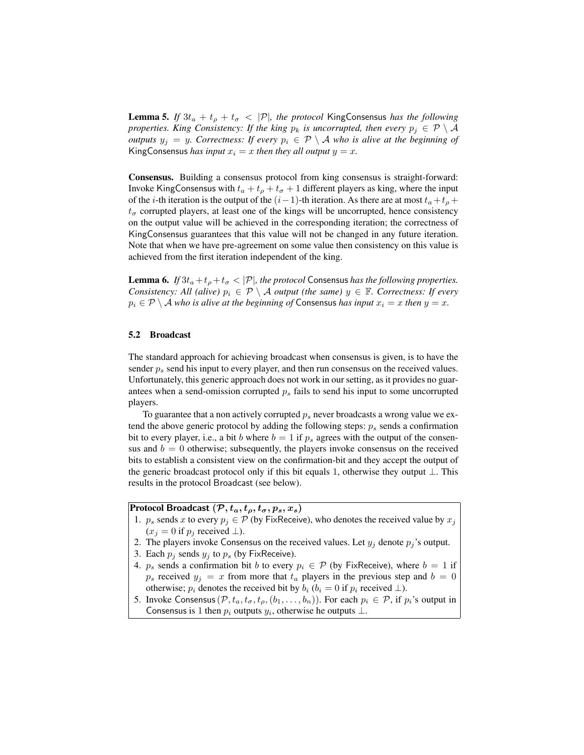**Lemma 5.** *If*  $3t_a + t_b + t_\sigma < |\mathcal{P}|$ *, the protocol* KingConsensus *has the following properties. King Consistency: If the king*  $p_k$  *is uncorrupted, then every*  $p_j \in \mathcal{P} \setminus \mathcal{A}$ *outputs*  $y_j = y$ *. Correctness: If every*  $p_i \in \mathcal{P} \setminus \mathcal{A}$  who is alive at the beginning of KingConsensus *has input*  $x_i = x$  *then they all output*  $y = x$ *.* 

Consensus. Building a consensus protocol from king consensus is straight-forward: Invoke KingConsensus with  $t_a + t_\rho + t_\sigma + 1$  different players as king, where the input of the *i*-th iteration is the output of the  $(i-1)$ -th iteration. As there are at most  $t_a + t_b +$  $t_{\sigma}$  corrupted players, at least one of the kings will be uncorrupted, hence consistency on the output value will be achieved in the corresponding iteration; the correctness of KingConsensus guarantees that this value will not be changed in any future iteration. Note that when we have pre-agreement on some value then consistency on this value is achieved from the first iteration independent of the king.

**Lemma 6.** *If*  $3t_a + t_b + t_\sigma < |\mathcal{P}|$ *, the protocol* Consensus *has the following properties. Consistency: All (alive)*  $p_i \in \mathcal{P} \setminus \mathcal{A}$  *output (the same)*  $y \in \mathbb{F}$ *. Correctness: If every*  $p_i \in \mathcal{P} \setminus \mathcal{A}$  *who is alive at the beginning of* Consensus *has input*  $x_i = x$  *then*  $y = x$ *.* 

#### 5.2 Broadcast

The standard approach for achieving broadcast when consensus is given, is to have the sender  $p_s$  send his input to every player, and then run consensus on the received values. Unfortunately, this generic approach does not work in our setting, as it provides no guarantees when a send-omission corrupted  $p<sub>s</sub>$  fails to send his input to some uncorrupted players.

To guarantee that a non actively corrupted  $p_s$  never broadcasts a wrong value we extend the above generic protocol by adding the following steps:  $p_s$  sends a confirmation bit to every player, i.e., a bit b where  $b = 1$  if  $p_s$  agrees with the output of the consensus and  $b = 0$  otherwise; subsequently, the players invoke consensus on the received bits to establish a consistent view on the confirmation-bit and they accept the output of the generic broadcast protocol only if this bit equals 1, otherwise they output ⊥. This results in the protocol Broadcast (see below).

## Protocol Broadcast  $(\mathcal{P}, t_a, t_\rho, t_\sigma, p_s, x_s)$

- 1.  $p_s$  sends x to every  $p_i \in \mathcal{P}$  (by FixReceive), who denotes the received value by  $x_i$  $(x_i = 0$  if  $p_i$  received  $\perp$ ).
- 2. The players invoke Consensus on the received values. Let  $y_j$  denote  $p_j$ 's output.
- 3. Each  $p_j$  sends  $y_j$  to  $p_s$  (by FixReceive).
- 4.  $p_s$  sends a confirmation bit b to every  $p_i \in \mathcal{P}$  (by FixReceive), where  $b = 1$  if  $p_s$  received  $y_j = x$  from more that  $t_a$  players in the previous step and  $b = 0$ otherwise;  $p_i$  denotes the received bit by  $b_i$  ( $b_i = 0$  if  $p_i$  received  $\perp$ ).
- 5. Invoke Consensus  $(\mathcal{P}, t_a, t_\sigma, t_\rho, (b_1, \ldots, b_n))$ . For each  $p_i \in \mathcal{P}$ , if  $p_i$ 's output in Consensus is 1 then  $p_i$  outputs  $y_i$ , otherwise he outputs  $\perp$ .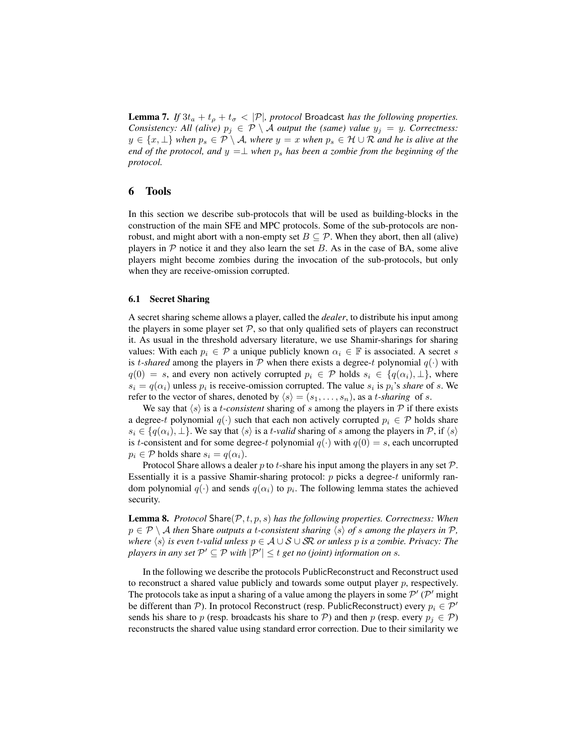**Lemma 7.** *If*  $3t_a + t_p + t_\sigma < |\mathcal{P}|$ *, protocol* Broadcast *has the following properties. Consistency: All (alive)*  $p_j \in \mathcal{P} \setminus \mathcal{A}$  *output the (same) value*  $y_j = y$ *. Correctness:*  $y \in \{x, \perp\}$  when  $p_s \in \mathcal{P} \setminus \mathcal{A}$ , where  $y = x$  when  $p_s \in \mathcal{H} \cup \mathcal{R}$  and he is alive at the *end of the protocol, and*  $y = \perp$  *when*  $p_s$  *has been a zombie from the beginning of the protocol.*

### 6 Tools

In this section we describe sub-protocols that will be used as building-blocks in the construction of the main SFE and MPC protocols. Some of the sub-protocols are nonrobust, and might abort with a non-empty set  $B \subseteq \mathcal{P}$ . When they abort, then all (alive) players in  $P$  notice it and they also learn the set  $B$ . As in the case of BA, some alive players might become zombies during the invocation of the sub-protocols, but only when they are receive-omission corrupted.

#### 6.1 Secret Sharing

A secret sharing scheme allows a player, called the *dealer*, to distribute his input among the players in some player set  $P$ , so that only qualified sets of players can reconstruct it. As usual in the threshold adversary literature, we use Shamir-sharings for sharing values: With each  $p_i \in \mathcal{P}$  a unique publicly known  $\alpha_i \in \mathbb{F}$  is associated. A secret s is *t*-shared among the players in  $P$  when there exists a degree-t polynomial  $q(\cdot)$  with  $q(0) = s$ , and every non actively corrupted  $p_i \in \mathcal{P}$  holds  $s_i \in \{q(\alpha_i), \perp\}$ , where  $s_i = q(\alpha_i)$  unless  $p_i$  is receive-omission corrupted. The value  $s_i$  is  $p_i$ 's *share* of s. We refer to the vector of shares, denoted by  $\langle s \rangle = (s_1, \ldots, s_n)$ , as a *t*-sharing of s.

We say that  $\langle s \rangle$  is a *t-consistent* sharing of s among the players in P if there exists a degree-t polynomial  $q(\cdot)$  such that each non actively corrupted  $p_i \in \mathcal{P}$  holds share  $s_i \in \{q(\alpha_i), \perp\}$ . We say that  $\langle s \rangle$  is a t-valid sharing of s among the players in P, if  $\langle s \rangle$ is t-consistent and for some degree-t polynomial  $q(\cdot)$  with  $q(0) = s$ , each uncorrupted  $p_i \in \mathcal{P}$  holds share  $s_i = q(\alpha_i)$ .

Protocol Share allows a dealer p to t-share his input among the players in any set  $\mathcal{P}$ . Essentially it is a passive Shamir-sharing protocol:  $p$  picks a degree- $t$  uniformly random polynomial  $q(\cdot)$  and sends  $q(\alpha_i)$  to  $p_i$ . The following lemma states the achieved security.

**Lemma 8.** *Protocol* Share( $P, t, p, s$ ) *has the following properties. Correctness: When*  $p \in \mathcal{P} \setminus \mathcal{A}$  *then* Share *outputs a t-consistent sharing*  $\langle s \rangle$  *of s among the players in*  $\mathcal{P}$ *, where*  $\langle s \rangle$  *is even t-valid unless*  $p \in A \cup S \cup S\mathbb{R}$  *or unless* p *is a zombie. Privacy: The players in any set*  $\mathcal{P}' \subseteq \mathcal{P}$  *with*  $|\mathcal{P}'| \leq t$  *get no (joint) information on s.* 

In the following we describe the protocols PublicReconstruct and Reconstruct used to reconstruct a shared value publicly and towards some output player  $p$ , respectively. The protocols take as input a sharing of a value among the players in some  $\mathcal{P}'$  ( $\mathcal{P}'$  might be different than P). In protocol Reconstruct (resp. PublicReconstruct) every  $p_i \in \mathcal{P}'$ sends his share to p (resp. broadcasts his share to P) and then p (resp. every  $p_i \in \mathcal{P}$ ) reconstructs the shared value using standard error correction. Due to their similarity we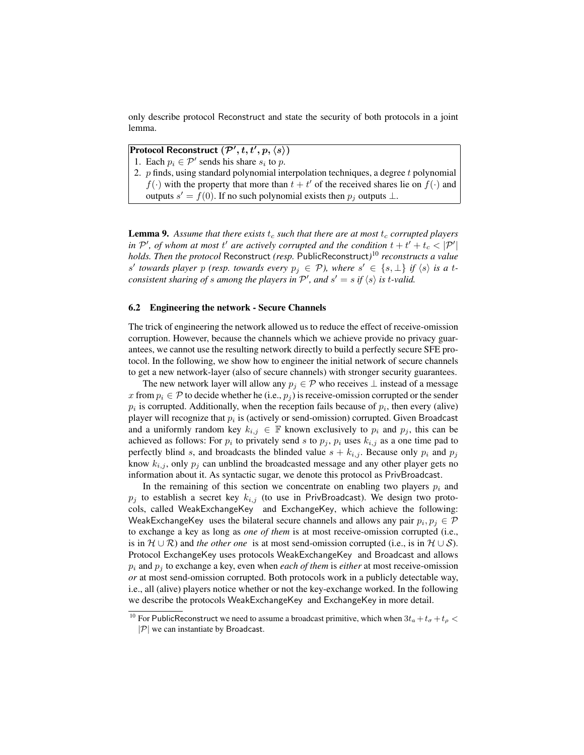only describe protocol Reconstruct and state the security of both protocols in a joint lemma.

Protocol Reconstruct  $(\mathcal{P}', t, t', p, \langle s \rangle)$ 

- 1. Each  $p_i \in \mathcal{P}'$  sends his share  $s_i$  to p.
- 2.  $p$  finds, using standard polynomial interpolation techniques, a degree  $t$  polynomial  $f(\cdot)$  with the property that more than  $t + t'$  of the received shares lie on  $f(\cdot)$  and outputs  $s' = f(0)$ . If no such polynomial exists then  $p_j$  outputs  $\perp$ .

**Lemma 9.** Assume that there exists  $t_c$  such that there are at most  $t_c$  corrupted players *in*  $\mathcal{P}'$ , *of whom at most*  $t'$  *are actively corrupted and the condition*  $t + t' + t_c < |\mathcal{P}'|$ *holds. Then the protocol* Reconstruct *(resp.* PublicReconstruct*)* <sup>10</sup> *reconstructs a value s'* towards player p (resp. towards every  $p_j \in \mathcal{P}$ ), where  $s' \in \{s, \perp\}$  if  $\langle s \rangle$  is a t*consistent sharing of s among the players in*  $\mathcal{P}'$ , and  $s' = s$  *if*  $\langle s \rangle$  *is t-valid.* 

#### 6.2 Engineering the network - Secure Channels

The trick of engineering the network allowed us to reduce the effect of receive-omission corruption. However, because the channels which we achieve provide no privacy guarantees, we cannot use the resulting network directly to build a perfectly secure SFE protocol. In the following, we show how to engineer the initial network of secure channels to get a new network-layer (also of secure channels) with stronger security guarantees.

The new network layer will allow any  $p_i \in \mathcal{P}$  who receives  $\perp$  instead of a message x from  $p_i \in \mathcal{P}$  to decide whether he (i.e.,  $p_j$ ) is receive-omission corrupted or the sender  $p_i$  is corrupted. Additionally, when the reception fails because of  $p_i$ , then every (alive) player will recognize that  $p_i$  is (actively or send-omission) corrupted. Given Broadcast and a uniformly random key  $k_{i,j} \in \mathbb{F}$  known exclusively to  $p_i$  and  $p_j$ , this can be achieved as follows: For  $p_i$  to privately send s to  $p_j$ ,  $p_i$  uses  $k_{i,j}$  as a one time pad to perfectly blind s, and broadcasts the blinded value  $s + k_{i,j}$ . Because only  $p_i$  and  $p_j$ know  $k_{i,j}$ , only  $p_j$  can unblind the broadcasted message and any other player gets no information about it. As syntactic sugar, we denote this protocol as PrivBroadcast.

In the remaining of this section we concentrate on enabling two players  $p_i$  and  $p_j$  to establish a secret key  $k_{i,j}$  (to use in PrivBroadcast). We design two protocols, called WeakExchangeKey and ExchangeKey, which achieve the following: WeakExchangeKey uses the bilateral secure channels and allows any pair  $p_i, p_j \in \mathcal{P}$ to exchange a key as long as *one of them* is at most receive-omission corrupted (i.e., is in  $\mathcal{H} \cup \mathcal{R}$ ) and *the other one* is at most send-omission corrupted (i.e., is in  $\mathcal{H} \cup \mathcal{S}$ ). Protocol ExchangeKey uses protocols WeakExchangeKey and Broadcast and allows  $p_i$  and  $p_j$  to exchange a key, even when *each of them* is *either* at most receive-omission *or* at most send-omission corrupted. Both protocols work in a publicly detectable way, i.e., all (alive) players notice whether or not the key-exchange worked. In the following we describe the protocols WeakExchangeKey and ExchangeKey in more detail.

<sup>&</sup>lt;sup>10</sup> For PublicReconstruct we need to assume a broadcast primitive, which when  $3t_a + t_\sigma + t_\rho$  <  $|\mathcal{P}|$  we can instantiate by Broadcast.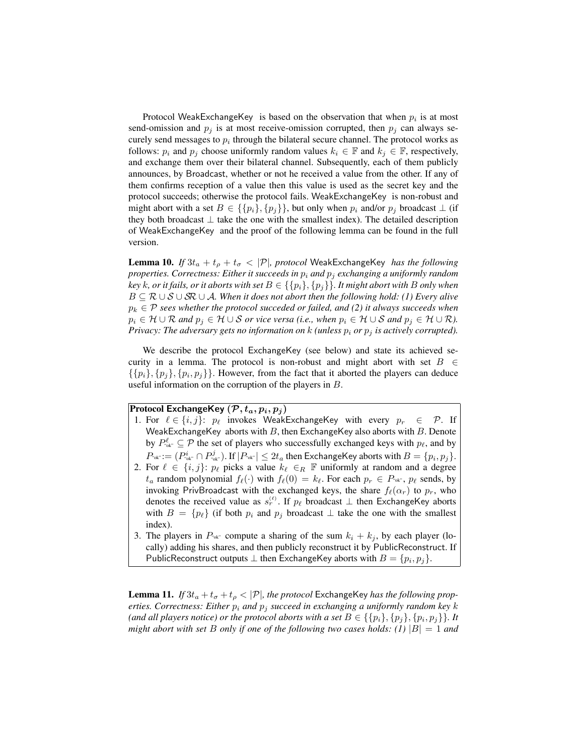Protocol WeakExchangeKey is based on the observation that when  $p_i$  is at most send-omission and  $p_j$  is at most receive-omission corrupted, then  $p_j$  can always securely send messages to  $p_i$  through the bilateral secure channel. The protocol works as follows:  $p_i$  and  $p_j$  choose uniformly random values  $k_i \in \mathbb{F}$  and  $k_j \in \mathbb{F}$ , respectively, and exchange them over their bilateral channel. Subsequently, each of them publicly announces, by Broadcast, whether or not he received a value from the other. If any of them confirms reception of a value then this value is used as the secret key and the protocol succeeds; otherwise the protocol fails. WeakExchangeKey is non-robust and might abort with a set  $B \in \{\{p_i\}, \{p_i\}\}\$ , but only when  $p_i$  and/or  $p_j$  broadcast  $\perp$  (if they both broadcast  $\perp$  take the one with the smallest index). The detailed description of WeakExchangeKey and the proof of the following lemma can be found in the full version.

**Lemma 10.** *If*  $3t_a + t_p + t_\sigma < |\mathcal{P}|$ *, protocol* WeakExchangeKey *has the following properties. Correctness: Either it succeeds in*  $p_i$  *and*  $p_j$  *exchanging a uniformly random key* k, or it fails, or it aborts with set  $B \in \{\{p_i\}, \{p_j\}\}\$ . It might abort with B only when B ⊆ R ∪ S ∪ SR ∪ A*. When it does not abort then the following hold: (1) Every alive*  $p_k \in \mathcal{P}$  *sees whether the protocol succeded or failed, and (2) it always succeeds when*  $p_i \in \mathcal{H} \cup \mathcal{R}$  *and*  $p_j \in \mathcal{H} \cup \mathcal{S}$  *or vice versa (i.e., when*  $p_i \in \mathcal{H} \cup \mathcal{S}$  *and*  $p_j \in \mathcal{H} \cup \mathcal{R}$ *). Privacy: The adversary gets no information on k (unless*  $p_i$  *or*  $p_j$  *is actively corrupted).* 

We describe the protocol ExchangeKey (see below) and state its achieved security in a lemma. The protocol is non-robust and might abort with set  $B \in$  $\{\{p_i\}, \{p_j\}, \{p_i, p_j\}\}\.$  However, from the fact that it aborted the players can deduce useful information on the corruption of the players in B.

### Protocol ExchangeKey  $(\mathcal{P}, t_a, p_i, p_j)$

- 1. For  $\ell \in \{i, j\}$ :  $p_{\ell}$  invokes WeakExchangeKey with every  $p_r \in \mathcal{P}$ . If WeakExchangeKey aborts with  $B$ , then ExchangeKey also aborts with  $B$ . Denote by  $P_{\text{adv}}^{\ell} \subseteq \mathcal{P}$  the set of players who successfully exchanged keys with  $p_{\ell}$ , and by  $P_{\textrm{{\tiny \textup{ok}}}^\ast} := (P_{\textrm{{\tiny \textup{ok}}}^\ast}^i \cap P_{\textrm{{\tiny \textup{ok}}}^\ast}^j)$ . If  $|P_{\textrm{{\tiny \textup{ok}}}^\ast|} \leq 2t_a$  then ExchangeKey aborts with  $B = \{p_i, p_j\}.$
- 2. For  $\ell \in \{i, j\}$ :  $p_{\ell}$  picks a value  $k_{\ell} \in_R \mathbb{F}$  uniformly at random and a degree  $t_a$  random polynomial  $f_\ell(\cdot)$  with  $f_\ell(0) = k_\ell$ . For each  $p_r \in P_{\text{w}, r}$  sends, by invoking PrivBroadcast with the exchanged keys, the share  $f_{\ell}(\alpha_r)$  to  $p_r$ , who denotes the received value as  $s_r^{(\ell)}$ . If  $p_\ell$  broadcast  $\perp$  then ExchangeKey aborts with  $B = \{p_\ell\}$  (if both  $p_i$  and  $p_j$  broadcast  $\perp$  take the one with the smallest index).
- 3. The players in  $P_{\text{ok}}$  compute a sharing of the sum  $k_i + k_j$ , by each player (locally) adding his shares, and then publicly reconstruct it by PublicReconstruct. If PublicReconstruct outputs  $\bot$  then ExchangeKey aborts with  $B = \{p_i, p_j\}.$

**Lemma 11.** *If*  $3t_a + t_\sigma + t_\rho < |\mathcal{P}|$ *, the protocol* ExchangeKey *has the following properties. Correctness: Either*  $p_i$  *and*  $p_j$  *succeed in exchanging a uniformly random key k* (and all players notice) or the protocol aborts with a set  $B \in \{\{p_i\}, \{p_j\}, \{p_i, p_j\}\}\$ . It *might abort with set B only if one of the following two cases holds: (1)*  $|B| = 1$  *and*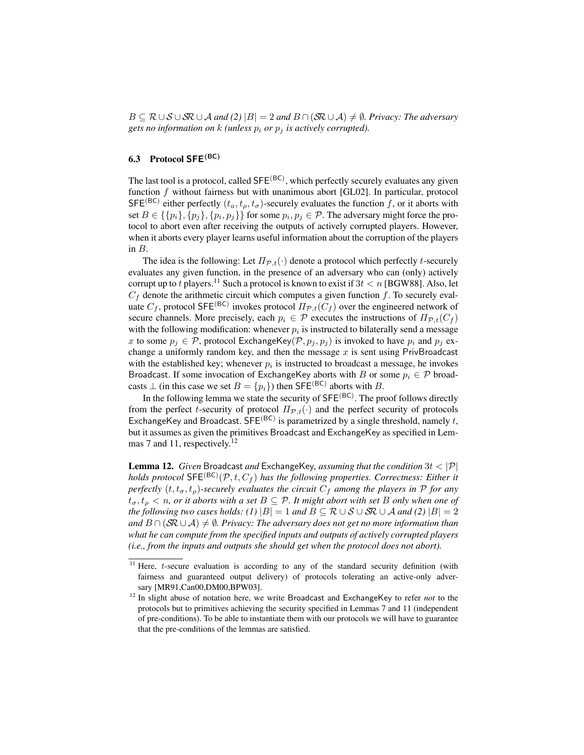$B \subseteq \mathcal{R} \cup \mathcal{S} \cup \mathcal{S} \mathcal{R} \cup \mathcal{A}$  and (2)  $|B| = 2$  and  $B \cap (\mathcal{S} \mathcal{R} \cup \mathcal{A}) \neq \emptyset$ . Privacy: The adversary *gets no information on*  $k$  *(unless*  $p_i$  *or*  $p_j$  *is actively corrupted).* 

# 6.3 Protocol SFE(BC)

The last tool is a protocol, called SFE<sup>(BC)</sup>, which perfectly securely evaluates any given function f without fairness but with unanimous abort [GL02]. In particular, protocol SFE<sup>(BC)</sup> either perfectly  $(t_a, t_p, t_\sigma)$ -securely evaluates the function f, or it aborts with set  $B \in \{\{p_i\}, \{p_j\}, \{p_i, p_j\}\}\$  for some  $p_i, p_j \in \mathcal{P}$ . The adversary might force the protocol to abort even after receiving the outputs of actively corrupted players. However, when it aborts every player learns useful information about the corruption of the players in  $B$ .

The idea is the following: Let  $\Pi_{\mathcal{P},t}(\cdot)$  denote a protocol which perfectly t-securely evaluates any given function, in the presence of an adversary who can (only) actively corrupt up to t players.<sup>11</sup> Such a protocol is known to exist if  $3t < n$  [BGW88]. Also, let  $C_f$  denote the arithmetic circuit which computes a given function f. To securely evaluate  $C_f$ , protocol SFE<sup>(BC)</sup> invokes protocol  $\Pi_{\mathcal{P},t}(C_f)$  over the engineered network of secure channels. More precisely, each  $p_i \in \mathcal{P}$  executes the instructions of  $\Pi_{\mathcal{P},t}(C_f)$ with the following modification: whenever  $p_i$  is instructed to bilaterally send a message x to some  $p_j \in \mathcal{P}$ , protocol ExchangeKey $(\mathcal{P}, p_j, p_j)$  is invoked to have  $p_i$  and  $p_j$  exchange a uniformly random key, and then the message  $x$  is sent using PrivBroadcast with the established key; whenever  $p_i$  is instructed to broadcast a message, he invokes Broadcast. If some invocation of ExchangeKey aborts with B or some  $p_i \in \mathcal{P}$  broadcasts  $\perp$  (in this case we set  $B = \{p_i\}$ ) then SFE<sup>(BC)</sup> aborts with B.

In the following lemma we state the security of  $SFE^{(BC)}$ . The proof follows directly from the perfect t-security of protocol  $\Pi_{\mathcal{P},t}(\cdot)$  and the perfect security of protocols ExchangeKey and Broadcast. SFE<sup>(BC)</sup> is parametrized by a single threshold, namely t, but it assumes as given the primitives Broadcast and ExchangeKey as specified in Lemmas 7 and 11, respectively.<sup>12</sup>

Lemma 12. *Given* Broadcast *and* ExchangeKey*, assuming that the condition* 3t < |P| *holds protocol*  $\mathsf{SFE}^{(\mathsf{BC})}(\mathcal{P}, t, C_f)$  *has the following properties. Correctness: Either it perfectly*  $(t, t_{\sigma}, t_{\rho})$ -securely evaluates the circuit  $C_f$  among the players in P for any  $t_{\sigma}, t_{\rho} < n$ , or it aborts with a set  $B \subseteq \mathcal{P}$ . It might abort with set B only when one of *the following two cases holds: (1)*  $|B| = 1$  *and*  $B \subseteq \mathcal{R} \cup \mathcal{S} \cup \mathcal{S} \cap \mathcal{R} \cup \mathcal{A}$  *and* (2)  $|B| = 2$ *and*  $B \cap (SR \cup A) \neq \emptyset$ . Privacy: The adversary does not get no more information than *what he can compute from the specified inputs and outputs of actively corrupted players (i.e., from the inputs and outputs she should get when the protocol does not abort).*

 $11$  Here, *t*-secure evaluation is according to any of the standard security definition (with fairness and guaranteed output delivery) of protocols tolerating an active-only adversary [MR91,Can00,DM00,BPW03].

<sup>&</sup>lt;sup>12</sup> In slight abuse of notation here, we write Broadcast and ExchangeKey to refer *not* to the protocols but to primitives achieving the security specified in Lemmas 7 and 11 (independent of pre-conditions). To be able to instantiate them with our protocols we will have to guarantee that the pre-conditions of the lemmas are satisfied.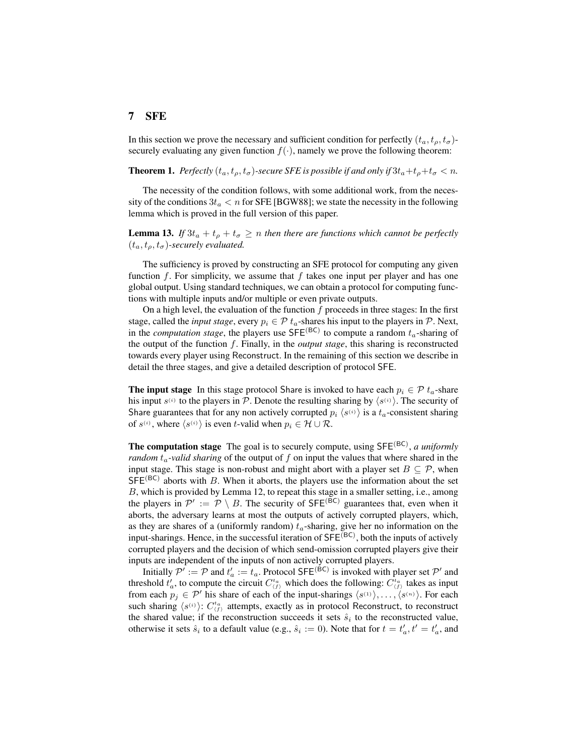# 7 SFE

In this section we prove the necessary and sufficient condition for perfectly  $(t_a, t_a, t_\sigma)$ securely evaluating any given function  $f(\cdot)$ , namely we prove the following theorem:

**Theorem 1.** *Perfectly*  $(t_a, t_o, t_\sigma)$ -secure SFE is possible if and only if  $3t_a+t_b+t_\sigma < n$ .

The necessity of the condition follows, with some additional work, from the necessity of the conditions  $3t_a < n$  for SFE [BGW88]; we state the necessity in the following lemma which is proved in the full version of this paper.

**Lemma 13.** If  $3t_a + t_a + t_\sigma \geq n$  then there are functions which cannot be perfectly  $(t_a, t_a, t_\sigma)$ -securely evaluated.

The sufficiency is proved by constructing an SFE protocol for computing any given function f. For simplicity, we assume that f takes one input per player and has one global output. Using standard techniques, we can obtain a protocol for computing functions with multiple inputs and/or multiple or even private outputs.

On a high level, the evaluation of the function  $f$  proceeds in three stages: In the first stage, called the *input stage*, every  $p_i \in \mathcal{P}$  t<sub>a</sub>-shares his input to the players in  $\mathcal{P}$ . Next, in the *computation stage*, the players use  $SFE^{(BC)}$  to compute a random  $t_a$ -sharing of the output of the function f. Finally, in the *output stage*, this sharing is reconstructed towards every player using Reconstruct. In the remaining of this section we describe in detail the three stages, and give a detailed description of protocol SFE.

**The input stage** In this stage protocol Share is invoked to have each  $p_i \in \mathcal{P}$   $t_a$ -share his input  $s^{(i)}$  to the players in P. Denote the resulting sharing by  $\langle s^{(i)} \rangle$ . The security of Share guarantees that for any non actively corrupted  $p_i \langle s^{(i)} \rangle$  is a  $t_a$ -consistent sharing of  $s^{(i)}$ , where  $\langle s^{(i)} \rangle$  is even t-valid when  $p_i \in \mathcal{H} \cup \mathcal{R}$ .

The computation stage The goal is to securely compute, using SFE<sup>(BC)</sup>, *a uniformly random*  $t_a$ -valid sharing of the output of f on input the values that where shared in the input stage. This stage is non-robust and might abort with a player set  $B \subseteq \mathcal{P}$ , when  $SFE^{(BC)}$  aborts with B. When it aborts, the players use the information about the set B, which is provided by Lemma 12, to repeat this stage in a smaller setting, i.e., among the players in  $\mathcal{P}' := \mathcal{P} \setminus B$ . The security of SFE<sup>(BC)</sup> guarantees that, even when it aborts, the adversary learns at most the outputs of actively corrupted players, which, as they are shares of a (uniformly random)  $t_a$ -sharing, give her no information on the input-sharings. Hence, in the successful iteration of  $SFE<sup>(BC)</sup>$ , both the inputs of actively corrupted players and the decision of which send-omission corrupted players give their inputs are independent of the inputs of non actively corrupted players.

Initially  $\mathcal{P}' := \mathcal{P}$  and  $t'_a := t_a$ . Protocol SFE<sup>(BC)</sup> is invoked with player set  $\mathcal{P}'$  and threshold  $t'_a$ , to compute the circuit  $C_{\langle f \rangle}^{t_a}$  which does the following:  $C_{\langle f \rangle}^{t_a}$  takes as input from each  $p_j \in \mathcal{P}'$  his share of each of the input-sharings  $\langle s^{(1)} \rangle, \ldots, \langle s^{(n)} \rangle$ . For each such sharing  $\langle s^{(i)} \rangle$ :  $C_{(f)}^{t_a}$  attempts, exactly as in protocol Reconstruct, to reconstruct the shared value; if the reconstruction succeeds it sets  $\hat{s}_i$  to the reconstructed value, otherwise it sets  $\hat{s}_i$  to a default value (e.g.,  $\hat{s}_i := 0$ ). Note that for  $t = t'_a, t' = t'_a$ , and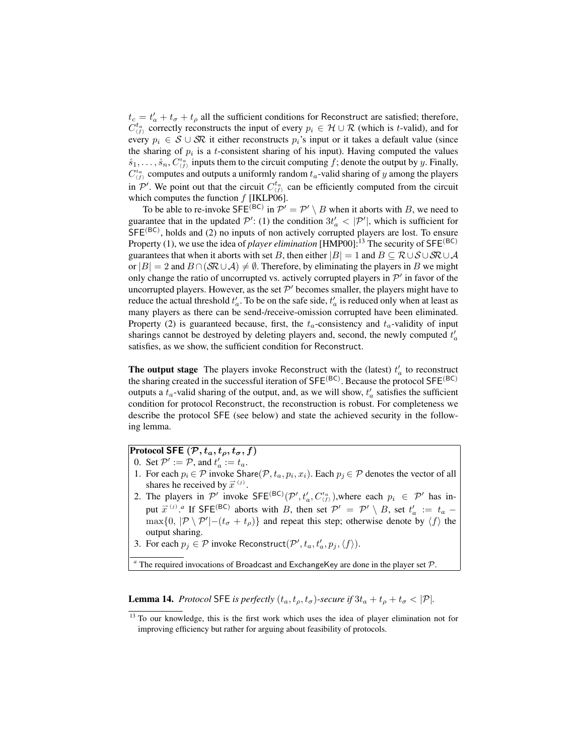$t_c = t'_a + t_\sigma + t_\rho$  all the sufficient conditions for Reconstruct are satisfied; therefore,  $C_{(f)}^{t_a}$  correctly reconstructs the input of every  $p_i \in H \cup R$  (which is t-valid), and for every  $p_i \in S \cup S\mathbb{R}$  it either reconstructs  $p_i$ 's input or it takes a default value (since the sharing of  $p_i$  is a t-consistent sharing of his input). Having computed the values  $\hat{s}_1, \ldots, \hat{s}_n, C_{(f)}^{t_a}$  inputs them to the circuit computing f; denote the output by y. Finally,  $C_{(f)}^{t_a}$  computes and outputs a uniformly random  $t_a$ -valid sharing of y among the players in  $\mathcal{P}'$ . We point out that the circuit  $C_{(f)}^{t_a}$  can be efficiently computed from the circuit which computes the function  $f$  [IKLP06].

To be able to re-invoke SFE<sup>(BC)</sup> in  $\mathcal{P}' = \mathcal{P}' \setminus B$  when it aborts with B, we need to guarantee that in the updated  $\mathcal{P}'$ : (1) the condition  $3t'_{a} < |\mathcal{P}'|$ , which is sufficient for  $SFE<sup>(BC)</sup>$ , holds and (2) no inputs of non actively corrupted players are lost. To ensure Property (1), we use the idea of *player elimination* [HMP00]:<sup>13</sup> The security of  $SFE^{(BC)}$ guarantees that when it aborts with set B, then either  $|B| = 1$  and  $B \subseteq \mathcal{R} \cup \mathcal{S} \cup \mathcal{S} \mathcal{R} \cup \mathcal{A}$ or  $|B| = 2$  and  $B \cap (\mathcal{SR} \cup \mathcal{A}) \neq \emptyset$ . Therefore, by eliminating the players in B we might only change the ratio of uncorrupted vs. actively corrupted players in  $\mathcal{P}'$  in favor of the uncorrupted players. However, as the set  $\mathcal{P}'$  becomes smaller, the players might have to reduce the actual threshold  $t'_a$ . To be on the safe side,  $t'_a$  is reduced only when at least as many players as there can be send-/receive-omission corrupted have been eliminated. Property (2) is guaranteed because, first, the  $t_a$ -consistency and  $t_a$ -validity of input sharings cannot be destroyed by deleting players and, second, the newly computed  $t'_a$ satisfies, as we show, the sufficient condition for Reconstruct.

The output stage The players invoke Reconstruct with the (latest)  $t'_a$  to reconstruct the sharing created in the successful iteration of  $SFE^{(BC)}$ . Because the protocol  $SFE^{(BC)}$ outputs a  $t_a$ -valid sharing of the output, and, as we will show,  $t'_a$  satisfies the sufficient condition for protocol Reconstruct, the reconstruction is robust. For completeness we describe the protocol SFE (see below) and state the achieved security in the following lemma.

# Protocol SFE  $(\mathcal{P}, t_a, t_\rho, t_\sigma, f)$

- 0. Set  $\mathcal{P}' := \mathcal{P}$ , and  $t'_a := t_a$ .
- 1. For each  $p_i \in \mathcal{P}$  invoke Share $(\mathcal{P}, t_a, p_i, x_i)$ . Each  $p_j \in \mathcal{P}$  denotes the vector of all shares he received by  $\vec{x}^{(j)}$ .
- 2. The players in  $\mathcal{P}'$  invoke  $SFE^{(BC)}(\mathcal{P}', t'_a, C^{t_a}_{(f)})$ , where each  $p_i \in \mathcal{P}'$  has input  $\vec{x}^{(j)}$ .<sup>*a*</sup> If SFE<sup>(BC)</sup> aborts with *B*, then set  $\mathcal{P}' = \mathcal{P}' \setminus B$ , set  $t'_a := t_a \max\{0, |\mathcal{P} \setminus \mathcal{P}'|-(t_{\sigma}+t_{\rho})\}\$ and repeat this step; otherwise denote by  $\langle f \rangle$  the output sharing.
- 3. For each  $p_j \in \mathcal{P}$  invoke Reconstruct $(\mathcal{P}', t_a, t'_a, p_j, \langle f \rangle)$ .

 $a$ <sup>n</sup> The required invocations of Broadcast and ExchangeKey are done in the player set  $P$ .

**Lemma 14.** *Protocol* SFE *is perfectly*  $(t_a, t_a, t_\sigma)$ -secure if  $3t_a + t_a + t_\sigma < |\mathcal{P}|$ *.* 

<sup>&</sup>lt;sup>13</sup> To our knowledge, this is the first work which uses the idea of player elimination not for improving efficiency but rather for arguing about feasibility of protocols.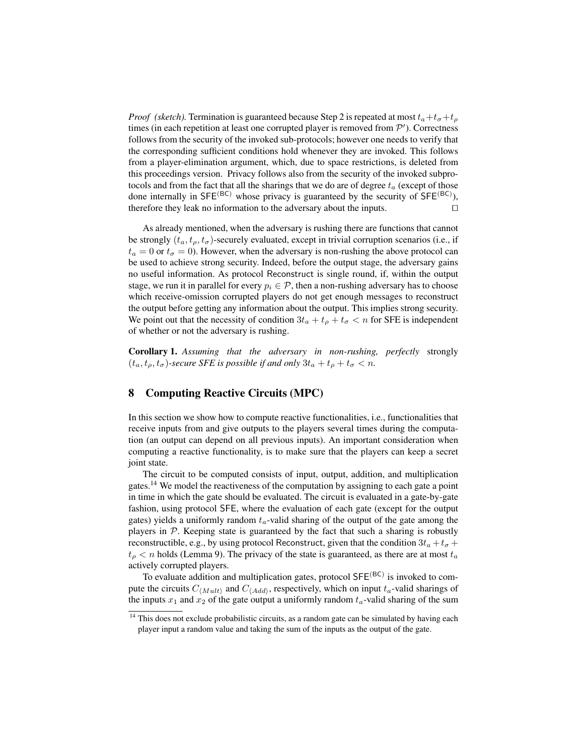*Proof (sketch)*. Termination is guaranteed because Step 2 is repeated at most  $t_a + t_\sigma + t_\rho$ times (in each repetition at least one corrupted player is removed from  $\mathcal{P}'$ ). Correctness follows from the security of the invoked sub-protocols; however one needs to verify that the corresponding sufficient conditions hold whenever they are invoked. This follows from a player-elimination argument, which, due to space restrictions, is deleted from this proceedings version. Privacy follows also from the security of the invoked subprotocols and from the fact that all the sharings that we do are of degree  $t_a$  (except of those done internally in  $SFE^{(BC)}$  whose privacy is guaranteed by the security of  $SFE^{(BC)}$ ), therefore they leak no information to the adversary about the inputs.  $\Box$ 

As already mentioned, when the adversary is rushing there are functions that cannot be strongly  $(t_a, t_\rho, t_\sigma)$ -securely evaluated, except in trivial corruption scenarios (i.e., if  $t_a = 0$  or  $t_\sigma = 0$ ). However, when the adversary is non-rushing the above protocol can be used to achieve strong security. Indeed, before the output stage, the adversary gains no useful information. As protocol Reconstruct is single round, if, within the output stage, we run it in parallel for every  $p_i \in \mathcal{P}$ , then a non-rushing adversary has to choose which receive-omission corrupted players do not get enough messages to reconstruct the output before getting any information about the output. This implies strong security. We point out that the necessity of condition  $3t_a + t_\rho + t_\sigma < n$  for SFE is independent of whether or not the adversary is rushing.

Corollary 1. *Assuming that the adversary in non-rushing, perfectly* strongly  $(t_a, t_\rho, t_\sigma)$ -secure SFE is possible if and only  $3t_a + t_\rho + t_\sigma < n$ .

# 8 Computing Reactive Circuits (MPC)

In this section we show how to compute reactive functionalities, i.e., functionalities that receive inputs from and give outputs to the players several times during the computation (an output can depend on all previous inputs). An important consideration when computing a reactive functionality, is to make sure that the players can keep a secret joint state.

The circuit to be computed consists of input, output, addition, and multiplication gates.<sup>14</sup> We model the reactiveness of the computation by assigning to each gate a point in time in which the gate should be evaluated. The circuit is evaluated in a gate-by-gate fashion, using protocol SFE, where the evaluation of each gate (except for the output gates) yields a uniformly random  $t_a$ -valid sharing of the output of the gate among the players in  $P$ . Keeping state is guaranteed by the fact that such a sharing is robustly reconstructible, e.g., by using protocol Reconstruct, given that the condition  $3t_a + t_\sigma +$  $t_p < n$  holds (Lemma 9). The privacy of the state is guaranteed, as there are at most  $t_a$ actively corrupted players.

To evaluate addition and multiplication gates, protocol SFE<sup>(BC)</sup> is invoked to compute the circuits  $C_{\langle Mult \rangle}$  and  $C_{\langle Add \rangle}$ , respectively, which on input  $t_a$ -valid sharings of the inputs  $x_1$  and  $x_2$  of the gate output a uniformly random  $t_a$ -valid sharing of the sum

 $14$  This does not exclude probabilistic circuits, as a random gate can be simulated by having each player input a random value and taking the sum of the inputs as the output of the gate.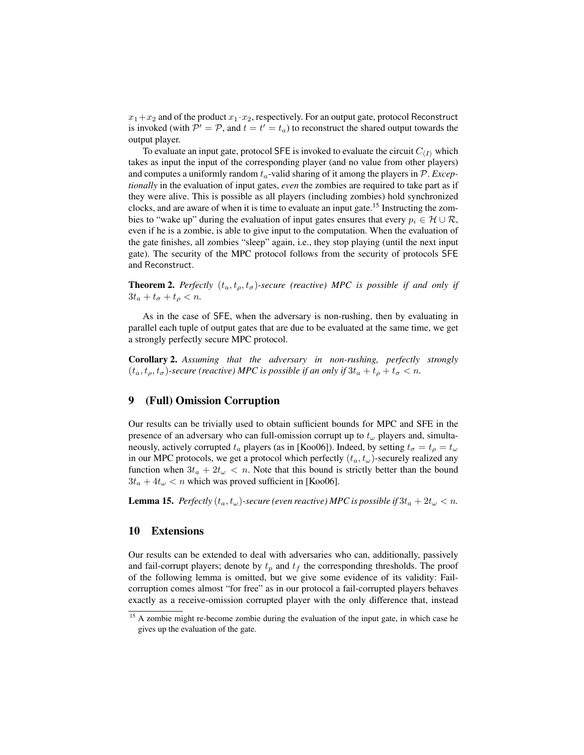$x_1+x_2$  and of the product  $x_1 \cdot x_2$ , respectively. For an output gate, protocol Reconstruct is invoked (with  $P' = P$ , and  $t = t' = t_a$ ) to reconstruct the shared output towards the output player.

To evaluate an input gate, protocol SFE is invoked to evaluate the circuit  $C_{\langle I \rangle}$  which takes as input the input of the corresponding player (and no value from other players) and computes a uniformly random  $t_a$ -valid sharing of it among the players in  $\mathcal{P}$ . *Exceptionally* in the evaluation of input gates, *even* the zombies are required to take part as if they were alive. This is possible as all players (including zombies) hold synchronized clocks, and are aware of when it is time to evaluate an input gate.<sup>15</sup> Instructing the zombies to "wake up" during the evaluation of input gates ensures that every  $p_i \in H \cup \mathcal{R}$ , even if he is a zombie, is able to give input to the computation. When the evaluation of the gate finishes, all zombies "sleep" again, i.e., they stop playing (until the next input gate). The security of the MPC protocol follows from the security of protocols SFE and Reconstruct.

**Theorem 2.** *Perfectly*  $(t_a, t_o, t_\sigma)$ -secure (reactive) MPC is possible if and only if  $3t_a + t_\sigma + t_\rho < n$ .

As in the case of SFE, when the adversary is non-rushing, then by evaluating in parallel each tuple of output gates that are due to be evaluated at the same time, we get a strongly perfectly secure MPC protocol.

Corollary 2. *Assuming that the adversary in non-rushing, perfectly strongly*  $(t_a, t_\rho, t_\sigma)$ -secure (reactive) MPC is possible if an only if  $3t_a + t_\rho + t_\sigma < n$ .

### 9 (Full) Omission Corruption

Our results can be trivially used to obtain sufficient bounds for MPC and SFE in the presence of an adversary who can full-omission corrupt up to  $t_{\omega}$  players and, simultaneously, actively corrupted  $t_a$  players (as in [Koo06]). Indeed, by setting  $t_\sigma = t_o = t_\omega$ in our MPC protocols, we get a protocol which perfectly  $(t_a, t_\omega)$ -securely realized any function when  $3t_a + 2t_{\omega} < n$ . Note that this bound is strictly better than the bound  $3t_a + 4t_\omega < n$  which was proved sufficient in [Koo06].

**Lemma 15.** *Perfectly*  $(t_a, t_\omega)$ -secure (even reactive) MPC is possible if  $3t_a + 2t_\omega < n$ .

#### 10 Extensions

Our results can be extended to deal with adversaries who can, additionally, passively and fail-corrupt players; denote by  $t_p$  and  $t_f$  the corresponding thresholds. The proof of the following lemma is omitted, but we give some evidence of its validity: Failcorruption comes almost "for free" as in our protocol a fail-corrupted players behaves exactly as a receive-omission corrupted player with the only difference that, instead

<sup>&</sup>lt;sup>15</sup> A zombie might re-become zombie during the evaluation of the input gate, in which case he gives up the evaluation of the gate.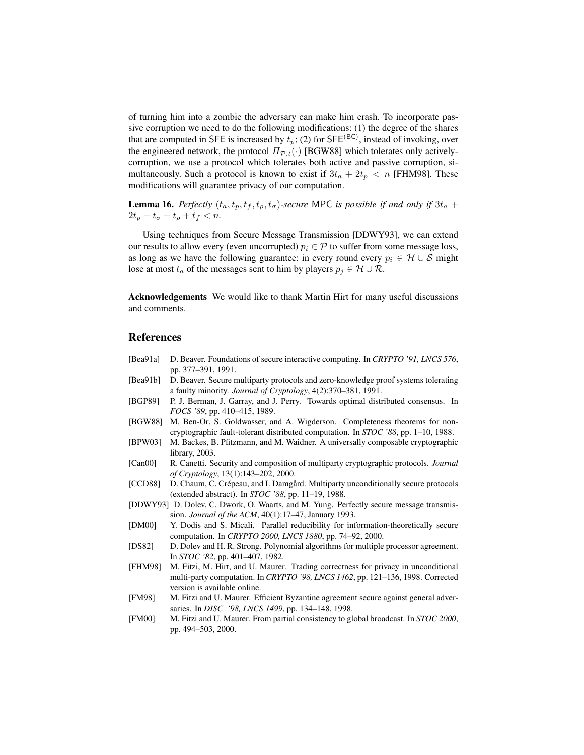of turning him into a zombie the adversary can make him crash. To incorporate passive corruption we need to do the following modifications: (1) the degree of the shares that are computed in SFE is increased by  $t_p$ ; (2) for SFE<sup>(BC)</sup>, instead of invoking, over the engineered network, the protocol  $\Pi_{\mathcal{P},t}(\cdot)$  [BGW88] which tolerates only activelycorruption, we use a protocol which tolerates both active and passive corruption, simultaneously. Such a protocol is known to exist if  $3t_a + 2t_p < n$  [FHM98]. These modifications will guarantee privacy of our computation.

**Lemma 16.** *Perfectly*  $(t_a, t_p, t_f, t_q, t_q)$ -secure MPC *is possible if and only if*  $3t_a$  +  $2t_p + t_\sigma + t_\rho + t_f < n$ .

Using techniques from Secure Message Transmission [DDWY93], we can extend our results to allow every (even uncorrupted)  $p_i \in \mathcal{P}$  to suffer from some message loss, as long as we have the following guarantee: in every round every  $p_i \in \mathcal{H} \cup \mathcal{S}$  might lose at most  $t_a$  of the messages sent to him by players  $p_j \in H \cup \mathcal{R}$ .

Acknowledgements We would like to thank Martin Hirt for many useful discussions and comments.

### References

- [Bea91a] D. Beaver. Foundations of secure interactive computing. In *CRYPTO '91, LNCS 576*, pp. 377–391, 1991.
- [Bea91b] D. Beaver. Secure multiparty protocols and zero-knowledge proof systems tolerating a faulty minority. *Journal of Cryptology*, 4(2):370–381, 1991.
- [BGP89] P. J. Berman, J. Garray, and J. Perry. Towards optimal distributed consensus. In *FOCS '89*, pp. 410–415, 1989.
- [BGW88] M. Ben-Or, S. Goldwasser, and A. Wigderson. Completeness theorems for noncryptographic fault-tolerant distributed computation. In *STOC '88*, pp. 1–10, 1988.
- [BPW03] M. Backes, B. Pfitzmann, and M. Waidner. A universally composable cryptographic library, 2003.
- [Can00] R. Canetti. Security and composition of multiparty cryptographic protocols. *Journal of Cryptology*, 13(1):143–202, 2000.
- [CCD88] D. Chaum, C. Crépeau, and I. Damgård. Multiparty unconditionally secure protocols (extended abstract). In *STOC '88*, pp. 11–19, 1988.
- [DDWY93] D. Dolev, C. Dwork, O. Waarts, and M. Yung. Perfectly secure message transmission. *Journal of the ACM*, 40(1):17–47, January 1993.
- [DM00] Y. Dodis and S. Micali. Parallel reducibility for information-theoretically secure computation. In *CRYPTO 2000, LNCS 1880*, pp. 74–92, 2000.
- [DS82] D. Dolev and H. R. Strong. Polynomial algorithms for multiple processor agreement. In *STOC '82*, pp. 401–407, 1982.
- [FHM98] M. Fitzi, M. Hirt, and U. Maurer. Trading correctness for privacy in unconditional multi-party computation. In *CRYPTO '98, LNCS 1462*, pp. 121–136, 1998. Corrected version is available online.
- [FM98] M. Fitzi and U. Maurer. Efficient Byzantine agreement secure against general adversaries. In *DISC '98, LNCS 1499*, pp. 134–148, 1998.
- [FM00] M. Fitzi and U. Maurer. From partial consistency to global broadcast. In *STOC 2000*, pp. 494–503, 2000.